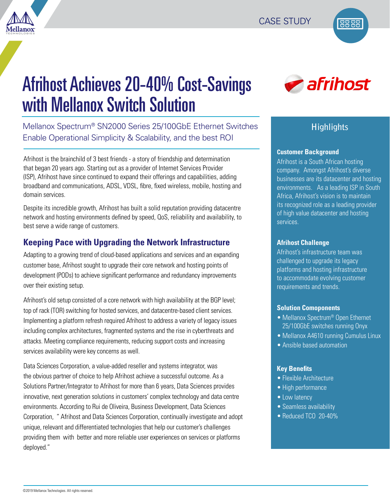



# Afrihost Achieves 20-40% Cost-Savings with Mellanox Switch Solution

Mellanox Spectrum® SN2000 Series 25/100GbE Ethernet Switches Enable Operational Simplicity & Scalability, and the best ROI

Afrihost is the brainchild of 3 best friends - a story of friendship and determination that began 20 years ago. Starting out as a provider of Internet Services Provider (ISP), Afrihost have since continued to expand their offerings and capabilities, adding broadband and communications, ADSL, VDSL, fibre, fixed wireless, mobile, hosting and domain services.

Despite its incredible growth, Afrihost has built a solid reputation providing datacentre network and hosting environments defined by speed, QoS, reliability and availability, to best serve a wide range of customers.

## **Keeping Pace with Upgrading the Network Infrastructure**

Adapting to a growing trend of cloud-based applications and services and an expanding customer base, Afrihost sought to upgrade their core network and hosting points of development (PODs) to achieve significant performance and redundancy improvements over their existing setup.

Afrihost's old setup consisted of a core network with high availability at the BGP level; top of rack (TOR) switching for hosted services, and datacentre-based client services. Implementing a platform refresh required Afrihost to address a variety of legacy issues including complex architectures, fragmented systems and the rise in cyberthreats and attacks. Meeting compliance requirements, reducing support costs and increasing services availability were key concerns as well.

Data Sciences Corporation, a value-added reseller and systems integrator, was the obvious partner of choice to help Afrihost achieve a successful outcome. As a Solutions Partner/Integrator to Afrihost for more than 6 years, Data Sciences provides innovative, next generation solutions in customers' complex technology and data centre environments. According to Rui de Oliveira, Business Development, Data Sciences Corporation, " Afrihost and Data Sciences Corporation, continually investigate and adopt unique, relevant and differentiated technologies that help our customer's challenges providing them with better and more reliable user experiences on services or platforms deployed."



# **Highlights**

#### **Customer Background**

Afrihost is a South African hosting company. Amongst Afrihost's diverse businesses are its datacenter and hosting environments. As a leading ISP in South Africa, Afrihost's vision is to maintain its recognized role as a leading provider of high value datacenter and hosting services.

#### **Afrihost Challenge**

Afrihost's infrastructure team was challenged to upgrade its legacy platforms and hosting infrastructure to accommodate evolving customer requirements and trends.

#### **Solution Comoponents**

- Mellanox Spectrum<sup>®</sup> Open Ethernet 25/100GbE switches running Onyx
- Mellanox A4610 running Cumulus Linux
- Ansible based automation

#### **Key Benefits**

- Flexible Architecture
- High performance
- Low latency
- Seamless availability
- Reduced TCO 20-40%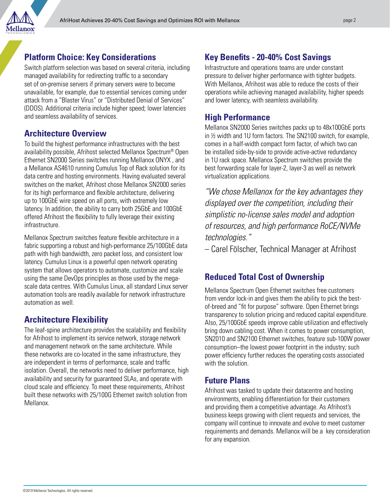

#### **Platform Choice: Key Considerations**

Switch platform selection was based on several criteria, including managed availability for redirecting traffic to a secondary set of on-premise servers if primary servers were to become unavailable, for example, due to essential services coming under attack from a "Blaster Virus" or "Distributed Denial of Services" (DDOS). Additional criteria include higher speed; lower latencies and seamless availability of services.

## **Architecture Overview**

To build the highest performance infrastructures with the best availability possible, Afrihost selected Mellanox Spectrum® Open Ethernet SN2000 Series switches running Mellanox ONYX , and a Mellanox AS4610 running Cumulus Top of Rack solution for its data centre and hosting environments. Having evaluated several switches on the market, Afrihost chose Mellanox SN2000 series for its high performance and flexible architecture, delivering up to 100GbE wire speed on all ports, with extremely low latency. In addition, the ability to carry both 25GbE and 100GbE offered Afrihost the flexibility to fully leverage their existing infrastructure.

Mellanox Spectrum switches feature flexible architecture in a fabric supporting a robust and high-performance 25/100GbE data path with high bandwidth, zero packet loss, and consistent low latency. Cumulus Linux is a powerful open network operating system that allows operators to automate, customize and scale using the same DevOps principles as those used by the megascale data centres. With Cumulus Linux, all standard Linux server automation tools are readily available for network infrastructure automation as well.

# **Architecture Flexibility**

The leaf-spine architecture provides the scalability and flexibility for Afrihost to implement its service network, storage network and management network on the same architecture. While these networks are co-located in the same infrastructure, they are independent in terms of performance, scale and traffic isolation. Overall, the networks need to deliver performance, high availability and security for guaranteed SLAs, and operate with cloud scale and efficiency. To meet these requirements, Afrihost built these networks with 25/100G Ethernet switch solution from Mellanox.

# **Key Benefits - 20-40% Cost Savings**

Infrastructure and operations teams are under constant pressure to deliver higher performance with tighter budgets. With Mellanox, Afrihost was able to reduce the costs of their operations while achieving managed availability, higher speeds and lower latency, with seamless availability.

## **High Performance**

Mellanox SN2000 Series switches packs up to 48x100GbE ports in ½ width and 1U form factors. The SN2100 switch, for example, comes in a half-width compact form factor, of which two can be installed side-by-side to provide active-active redundancy in 1U rack space. Mellanox Spectrum switches provide the best forwarding scale for layer-2, layer-3 as well as network virtualization applications.

*"We chose Mellanox for the key advantages they displayed over the competition, including their simplistic no-license sales model and adoption of resources, and high performance RoCE/NVMe technologies."* 

– Carel Fölscher, Technical Manager at Afrihost

# **Reduced Total Cost of Ownership**

Mellanox Spectrum Open Ethernet switches free customers from vendor lock-in and gives them the ability to pick the bestof-breed and "fit for purpose" software. Open Ethernet brings transparency to solution pricing and reduced capital expenditure. Also, 25/100GbE speeds improve cable utilization and effectively bring down cabling cost. When it comes to power consumption, SN2010 and SN2100 Ethernet switches, feature sub-100W power consumption–the lowest power footprint in the industry; such power efficiency further reduces the operating costs associated with the solution

## **Future Plans**

Afrihost was tasked to update their datacentre and hosting environments, enabling differentiation for their customers and providing them a competitive advantage. As Afrihost's business keeps growing with client requests and services, the company will continue to innovate and evolve to meet customer requirements and demands. Mellanox will be a key consideration for any expansion.